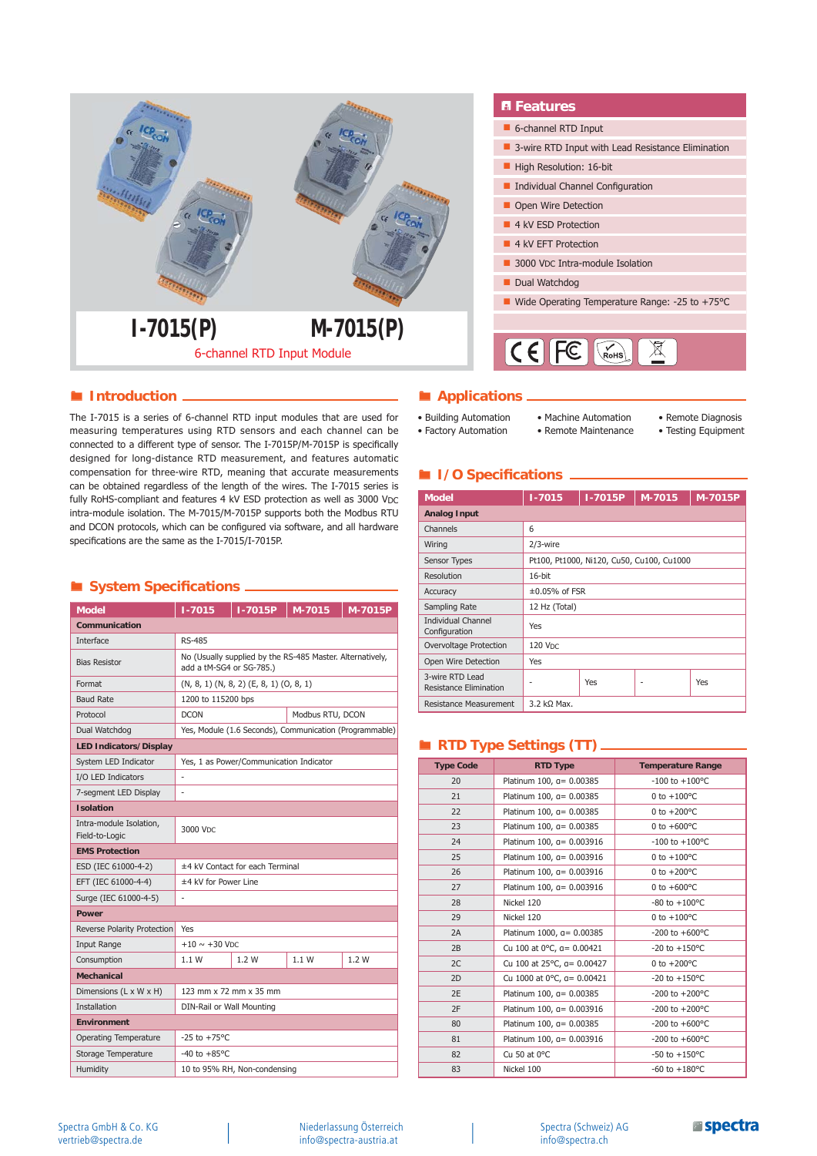

## **Introduction** *<b>Introduction Applications*

The I-7015 is a series of 6-channel RTD input modules that are used for measuring temperatures using RTD sensors and each channel can be connected to a different type of sensor. The I-7015P/M-7015P is specifically designed for long-distance RTD measurement, and features automatic compensation for three-wire RTD, meaning that accurate measurements can be obtained regardless of the length of the wires. The I-7015 series is fully RoHS-compliant and features 4 kV ESD protection as well as 3000 VDC intra-module isolation. The M-7015/M-7015P supports both the Modbus RTU and DCON protocols, which can be configured via software, and all hardware specifications are the same as the I-7015/I-7015P.

# $\blacksquare$  System Specifications .

| <b>Model</b>                              | I-7015P<br>$1 - 7015$<br>M-7015<br>M-7015P |                                                                                       |                  |  |  |  |  |  |
|-------------------------------------------|--------------------------------------------|---------------------------------------------------------------------------------------|------------------|--|--|--|--|--|
| Communication                             |                                            |                                                                                       |                  |  |  |  |  |  |
| Interface                                 | <b>RS-485</b>                              |                                                                                       |                  |  |  |  |  |  |
| <b>Bias Resistor</b>                      |                                            | No (Usually supplied by the RS-485 Master. Alternatively,<br>add a tM-SG4 or SG-785.) |                  |  |  |  |  |  |
| Format                                    |                                            | $(N, 8, 1)$ $(N, 8, 2)$ $(E, 8, 1)$ $(O, 8, 1)$                                       |                  |  |  |  |  |  |
| <b>Baud Rate</b>                          | 1200 to 115200 bps                         |                                                                                       |                  |  |  |  |  |  |
| Protocol                                  | <b>DCON</b>                                |                                                                                       | Modbus RTU, DCON |  |  |  |  |  |
| Dual Watchdog                             |                                            | Yes, Module (1.6 Seconds), Communication (Programmable)                               |                  |  |  |  |  |  |
| <b>LED Indicators/Display</b>             |                                            |                                                                                       |                  |  |  |  |  |  |
| System LED Indicator                      |                                            | Yes, 1 as Power/Communication Indicator                                               |                  |  |  |  |  |  |
| I/O LED Indicators                        | ÷                                          |                                                                                       |                  |  |  |  |  |  |
| 7-segment LED Display                     |                                            |                                                                                       |                  |  |  |  |  |  |
| <b>Isolation</b>                          |                                            |                                                                                       |                  |  |  |  |  |  |
| Intra-module Isolation,<br>Field-to-Logic | 3000 Vpc                                   |                                                                                       |                  |  |  |  |  |  |
| <b>EMS Protection</b>                     |                                            |                                                                                       |                  |  |  |  |  |  |
| ESD (IEC 61000-4-2)                       | ±4 kV Contact for each Terminal            |                                                                                       |                  |  |  |  |  |  |
| EFT (IEC 61000-4-4)                       | ±4 kV for Power Line                       |                                                                                       |                  |  |  |  |  |  |
| Surge (IEC 61000-4-5)                     | ÷,                                         |                                                                                       |                  |  |  |  |  |  |
| Power                                     |                                            |                                                                                       |                  |  |  |  |  |  |
| Reverse Polarity Protection               | Yes                                        |                                                                                       |                  |  |  |  |  |  |
| <b>Input Range</b>                        | $+10 \sim +30$ V <sub>DC</sub>             |                                                                                       |                  |  |  |  |  |  |
| Consumption                               | 1.1W                                       | 1.2W                                                                                  |                  |  |  |  |  |  |
| <b>Mechanical</b>                         |                                            |                                                                                       |                  |  |  |  |  |  |
| Dimensions (L x W x H)                    | 123 mm x 72 mm x 35 mm                     |                                                                                       |                  |  |  |  |  |  |
| <b>Installation</b>                       | DIN-Rail or Wall Mounting                  |                                                                                       |                  |  |  |  |  |  |
| <b>Environment</b>                        |                                            |                                                                                       |                  |  |  |  |  |  |
| Operating Temperature                     | $-25$ to $+75^{\circ}$ C                   |                                                                                       |                  |  |  |  |  |  |
| Storage Temperature                       | $-40$ to $+85^{\circ}$ C                   |                                                                                       |                  |  |  |  |  |  |
| Humidity                                  | 10 to 95% RH, Non-condensing               |                                                                                       |                  |  |  |  |  |  |

#### • Building Automation • Factory Automation

- 
- Machine Automation • Remote Maintenance
- Remote Diagnosis
- Testing Equipment

# $I/O$  **Specifications**  $-$

| <b>Model</b>                               | $1 - 7015$          | I-7015P | M-7015                                    | M-7015P |  |
|--------------------------------------------|---------------------|---------|-------------------------------------------|---------|--|
| <b>Analog Input</b>                        |                     |         |                                           |         |  |
| Channels                                   | 6                   |         |                                           |         |  |
| Wiring                                     | $2/3$ -wire         |         |                                           |         |  |
| Sensor Types                               |                     |         | Pt100, Pt1000, Ni120, Cu50, Cu100, Cu1000 |         |  |
| Resolution                                 | 16-bit              |         |                                           |         |  |
| Accuracy                                   | $\pm 0.05\%$ of FSR |         |                                           |         |  |
| Sampling Rate                              | 12 Hz (Total)       |         |                                           |         |  |
| <b>Individual Channel</b><br>Configuration | Yes                 |         |                                           |         |  |
| Overvoltage Protection                     | <b>120 VDC</b>      |         |                                           |         |  |
| Open Wire Detection                        | Yes                 |         |                                           |         |  |
| 3-wire RTD Lead<br>Resistance Elimination  | Yes<br>Yes          |         |                                           |         |  |
| <b>Resistance Measurement</b>              | $3.2$ kΩ Max.       |         |                                           |         |  |

# **RTD Type Settings (TT)**

| <b>Type Code</b> | <b>RTD Type</b>            | <b>Temperature Range</b> |
|------------------|----------------------------|--------------------------|
| 20               | Platinum 100, a= 0.00385   | $-100$ to $+100$ °C      |
| 21               | Platinum 100, a= 0.00385   | 0 to $+100^{\circ}$ C    |
| 22               | Platinum 100, a= 0.00385   | 0 to $+200^{\circ}$ C    |
| 23               | Platinum 100, a= 0.00385   | 0 to $+600^{\circ}$ C    |
| 24               | Platinum 100, a= 0.003916  | $-100$ to $+100$ °C      |
| 25               | Platinum 100, a= 0.003916  | 0 to $+100^{\circ}$ C    |
| 26               | Platinum 100, a= 0.003916  | 0 to $+200^{\circ}$ C    |
| 27               | Platinum 100, a = 0.003916 | 0 to $+600^{\circ}$ C    |
| 28               | Nickel 120                 | $-80$ to $+100$ °C       |
| 29               | Nickel 120                 | 0 to $+100^{\circ}$ C    |
| 2A               | Platinum 1000, a= 0.00385  | $-200$ to $+600$ °C      |
| 2B               | Cu 100 at 0°C, a= 0.00421  | $-20$ to $+150$ °C       |
| 2C               | Cu 100 at 25°C, a= 0.00427 | 0 to $+200^{\circ}$ C    |
| 2D               | Cu 1000 at 0°C, a= 0.00421 | $-20$ to $+150$ °C       |
| 2E               | Platinum 100, a= 0.00385   | -200 to $+200^{\circ}$ C |
| 2F               | Platinum 100, a= 0.003916  | -200 to $+200^{\circ}$ C |
| 80               | Platinum 100, a= 0.00385   | $-200$ to $+600$ °C      |
| 81               | Platinum 100, a= 0.003916  | $-200$ to $+600$ °C      |
| 82               | Cu 50 at $0^{\circ}$ C     | $-50$ to $+150$ °C       |
| 83               | Nickel 100                 | $-60$ to $+180$ °C       |